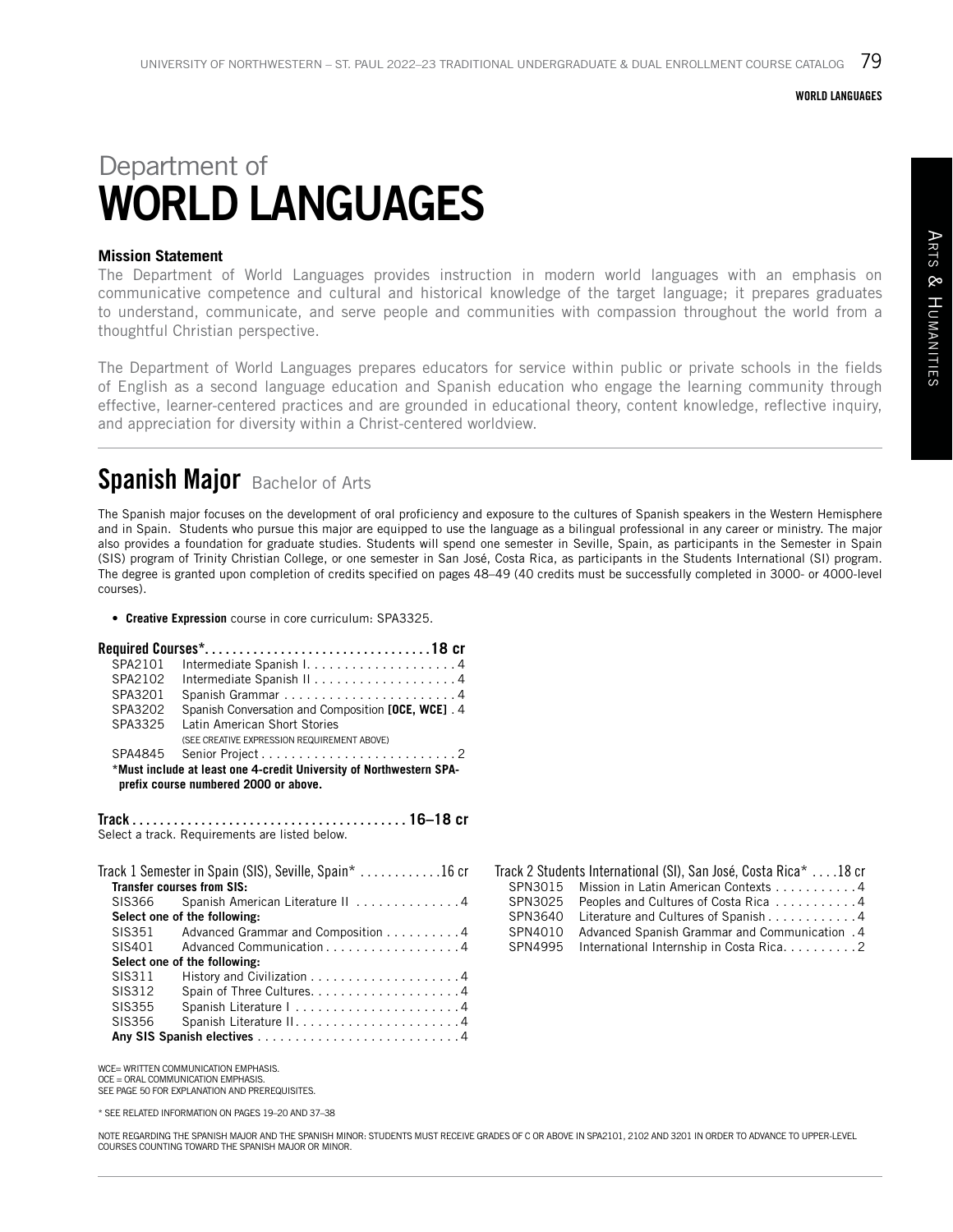### WORLD LANGUAGES

# Department of WORLD LANGUAGES

### **Mission Statement**

The Department of World Languages provides instruction in modern world languages with an emphasis on communicative competence and cultural and historical knowledge of the target language; it prepares graduates to understand, communicate, and serve people and communities with compassion throughout the world from a thoughtful Christian perspective.

The Department of World Languages prepares educators for service within public or private schools in the fields of English as a second language education and Spanish education who engage the learning community through effective, learner-centered practices and are grounded in educational theory, content knowledge, reflective inquiry, and appreciation for diversity within a Christ-centered worldview.

### Spanish Major Bachelor of Arts

The Spanish major focuses on the development of oral proficiency and exposure to the cultures of Spanish speakers in the Western Hemisphere and in Spain. Students who pursue this major are equipped to use the language as a bilingual professional in any career or ministry. The major also provides a foundation for graduate studies. Students will spend one semester in Seville, Spain, as participants in the Semester in Spain (SIS) program of Trinity Christian College, or one semester in San José, Costa Rica, as participants in the Students International (SI) program. The degree is granted upon completion of credits specified on pages 48–49 (40 credits must be successfully completed in 3000- or 4000-level courses).

• **Creative Expression** course in core curriculum: SPA3325.

| SPA2101                                                                                                      |                                                    |  |
|--------------------------------------------------------------------------------------------------------------|----------------------------------------------------|--|
| SPA2102                                                                                                      |                                                    |  |
| SPA3201                                                                                                      |                                                    |  |
| SPA3202                                                                                                      | Spanish Conversation and Composition [OCE, WCE]. 4 |  |
| SPA3325                                                                                                      | Latin American Short Stories                       |  |
|                                                                                                              | (SEE CREATIVE EXPRESSION REQUIREMENT ABOVE)        |  |
|                                                                                                              |                                                    |  |
| *Must include at least one 4-credit University of Northwestern SPA-<br>prefix course numbered 2000 or above. |                                                    |  |

Track. . **16–18 cr** Select a track. Requirements are listed below.

|                              | Track 1 Semester in Spain (SIS), Seville, Spain* $\ldots \ldots \ldots \ldots$<br><b>Transfer courses from SIS:</b> |  |
|------------------------------|---------------------------------------------------------------------------------------------------------------------|--|
| SIS366                       | Spanish American Literature II 4                                                                                    |  |
| Select one of the following: |                                                                                                                     |  |
| SIS351                       | Advanced Grammar and Composition 4                                                                                  |  |
| SIS401                       | Advanced Communication 4                                                                                            |  |
| Select one of the following: |                                                                                                                     |  |
| SIS311                       |                                                                                                                     |  |
| SIS312                       |                                                                                                                     |  |
| SIS355                       |                                                                                                                     |  |
| SIS356                       |                                                                                                                     |  |
|                              |                                                                                                                     |  |

| WCE= WRITTEN COMMUNICATION EMPHASIS.           |
|------------------------------------------------|
| $OCE = ORAL$ COMMUNICATION EMPHASIS.           |
| SEE PAGE 50 FOR EXPLANATION AND PREREQUISITES. |

\* SEE RELATED INFORMATION ON PAGES 19–20 AND 37–38

#### SPN3015 Mission in Latin American Contexts . . . . . . . . . . 4 SPN3025 Peoples and Cultures of Costa Rica...........4 SPN3640 Literature and Cultures of Spanish..............4<br>SPN4010 Advanced Spanish Grammar and Communication .4 Advanced Spanish Grammar and Communication . 4

Track 2 Students International (SI), San José, Costa Rica\* . . . 18 cr

| - - - - |                                                 |  |
|---------|-------------------------------------------------|--|
|         | SPN4995 International Internship in Costa Rica2 |  |

ARTS & HUMANITIES Arts & Hum anities

NOTE REGARDING THE SPANISH MAJOR AND THE SPANISH MINOR: STUDENTS MUST RECEIVE GRADES OF C OR ABOVE IN SPA2101, 2102 AND 3201 IN ORDER TO ADVANCE TO UPPER-LEVEL COURSES COUNTING TOWARD THE SPANISH MAJOR OR MINOR.